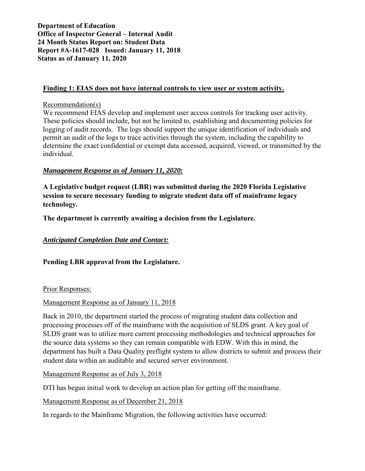### **Finding 1: EIAS does not have internal controls to view user or system activity.**

Recommendation(s)

We recommend EIAS develop and implement user access controls for tracking user activity. These policies should include, but not be limited to, establishing and documenting policies for logging of audit records. The logs should support the unique identification of individuals and permit an audit of the logs to trace activities through the system, including the capability to determine the exact confidential or exempt data accessed, acquired, viewed, or transmitted by the individual.

# *Management Response as of January 11, 2020:*

**A Legislative budget request (LBR) was submitted during the 2020 Florida Legislative session to secure necessary funding to migrate student data off of mainframe legacy technology.** 

**The department is currently awaiting a decision from the Legislature.**

### *Anticipated Completion Date and Contact:*

**Pending LBR approval from the Legislature.**

Prior Responses:

### Management Response as of January 11, 2018

Back in 2010, the department started the process of migrating student data collection and processing processes off of the mainframe with the acquisition of SLDS grant. A key goal of SLDS grant was to utilize more current processing methodologies and technical approaches for the source data systems so they can remain compatible with EDW. With this in mind, the department has built a Data Quality preflight system to allow districts to submit and process their student data within an auditable and secured server environment.

Management Response as of July 3, 2018

DTI has begun initial work to develop an action plan for getting off the mainframe.

Management Response as of December 21, 2018

In regards to the Mainframe Migration, the following activities have occurred: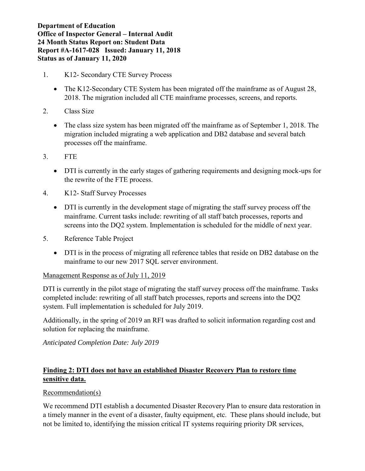- 1. K12- Secondary CTE Survey Process
	- The K12-Secondary CTE System has been migrated off the mainframe as of August 28, 2018. The migration included all CTE mainframe processes, screens, and reports.
- 2. Class Size
	- The class size system has been migrated off the mainframe as of September 1, 2018. The migration included migrating a web application and DB2 database and several batch processes off the mainframe.
- 3. FTE
	- DTI is currently in the early stages of gathering requirements and designing mock-ups for the rewrite of the FTE process.
- 4. K12- Staff Survey Processes
	- DTI is currently in the development stage of migrating the staff survey process off the mainframe. Current tasks include: rewriting of all staff batch processes, reports and screens into the DQ2 system. Implementation is scheduled for the middle of next year.
- 5. Reference Table Project
	- DTI is in the process of migrating all reference tables that reside on DB2 database on the mainframe to our new 2017 SQL server environment.

# Management Response as of July 11, 2019

DTI is currently in the pilot stage of migrating the staff survey process off the mainframe. Tasks completed include: rewriting of all staff batch processes, reports and screens into the DQ2 system. Full implementation is scheduled for July 2019.

Additionally, in the spring of 2019 an RFI was drafted to solicit information regarding cost and solution for replacing the mainframe.

*Anticipated Completion Date: July 2019*

# **Finding 2: DTI does not have an established Disaster Recovery Plan to restore time sensitive data.**

# Recommendation(s)

We recommend DTI establish a documented Disaster Recovery Plan to ensure data restoration in a timely manner in the event of a disaster, faulty equipment, etc. These plans should include, but not be limited to, identifying the mission critical IT systems requiring priority DR services,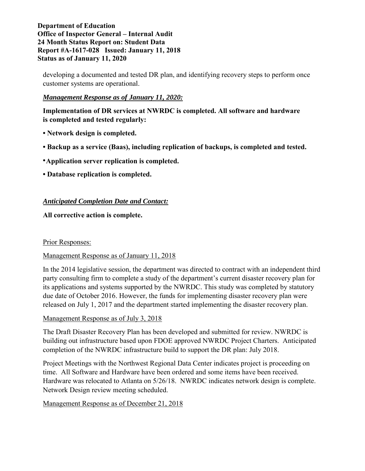developing a documented and tested DR plan, and identifying recovery steps to perform once customer systems are operational.

# *Management Response as of January 11, 2020:*

**Implementation of DR services at NWRDC is completed. All software and hardware is completed and tested regularly:** 

- **• Network design is completed.**
- **• Backup as a service (Baas), including replication of backups, is completed and tested.**
- **•Application server replication is completed.**
- **• Database replication is completed.**

# *Anticipated Completion Date and Contact:*

**All corrective action is complete.** 

Prior Responses:

# Management Response as of January 11, 2018

In the 2014 legislative session, the department was directed to contract with an independent third party consulting firm to complete a study of the department's current disaster recovery plan for its applications and systems supported by the NWRDC. This study was completed by statutory due date of October 2016. However, the funds for implementing disaster recovery plan were released on July 1, 2017 and the department started implementing the disaster recovery plan.

# Management Response as of July 3, 2018

The Draft Disaster Recovery Plan has been developed and submitted for review. NWRDC is building out infrastructure based upon FDOE approved NWRDC Project Charters. Anticipated completion of the NWRDC infrastructure build to support the DR plan: July 2018.

Project Meetings with the Northwest Regional Data Center indicates project is proceeding on time. All Software and Hardware have been ordered and some items have been received. Hardware was relocated to Atlanta on 5/26/18. NWRDC indicates network design is complete. Network Design review meeting scheduled.

# Management Response as of December 21, 2018